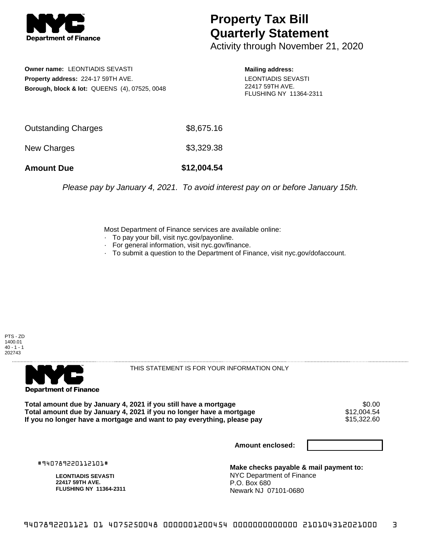

## **Property Tax Bill Quarterly Statement**

Activity through November 21, 2020

**Owner name:** LEONTIADIS SEVASTI **Property address:** 224-17 59TH AVE. **Borough, block & lot:** QUEENS (4), 07525, 0048

**Mailing address:** LEONTIADIS SEVASTI 22417 59TH AVE. FLUSHING NY 11364-2311

| <b>Amount Due</b>   | \$12,004.54 |
|---------------------|-------------|
| New Charges         | \$3,329.38  |
| Outstanding Charges | \$8,675.16  |

Please pay by January 4, 2021. To avoid interest pay on or before January 15th.

Most Department of Finance services are available online:

- · To pay your bill, visit nyc.gov/payonline.
- For general information, visit nyc.gov/finance.
- · To submit a question to the Department of Finance, visit nyc.gov/dofaccount.





THIS STATEMENT IS FOR YOUR INFORMATION ONLY

Total amount due by January 4, 2021 if you still have a mortgage **\$0.00** \$0.00<br>Total amount due by January 4, 2021 if you no longer have a mortgage **\$12,004.54 Total amount due by January 4, 2021 if you no longer have a mortgage**  $$12,004.54$ **<br>If you no longer have a mortgage and want to pay everything, please pay**  $$15,322.60$ If you no longer have a mortgage and want to pay everything, please pay

**Amount enclosed:**

#940789220112101#

**LEONTIADIS SEVASTI 22417 59TH AVE. FLUSHING NY 11364-2311**

**Make checks payable & mail payment to:** NYC Department of Finance P.O. Box 680 Newark NJ 07101-0680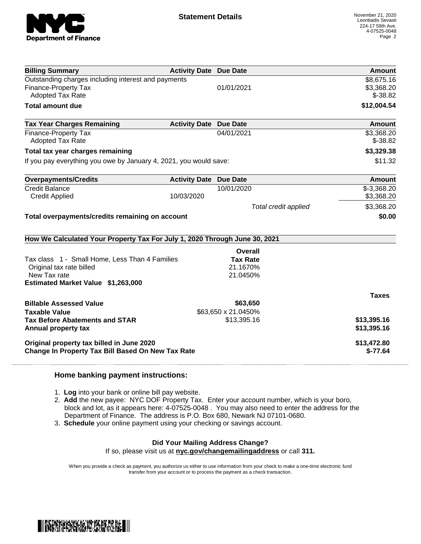

| <b>Billing Summary</b>                                                     | <b>Activity Date Due Date</b> |                      | <b>Amount</b>           |
|----------------------------------------------------------------------------|-------------------------------|----------------------|-------------------------|
| Outstanding charges including interest and payments                        |                               |                      | \$8,675.16              |
| <b>Finance-Property Tax</b>                                                |                               | 01/01/2021           | \$3,368.20              |
| Adopted Tax Rate                                                           |                               |                      | $$-38.82$               |
| <b>Total amount due</b>                                                    |                               |                      | \$12,004.54             |
| <b>Tax Year Charges Remaining</b>                                          | <b>Activity Date Due Date</b> |                      | Amount                  |
| <b>Finance-Property Tax</b><br><b>Adopted Tax Rate</b>                     |                               | 04/01/2021           | \$3,368.20<br>$$-38.82$ |
| Total tax year charges remaining                                           |                               |                      | \$3,329.38              |
| If you pay everything you owe by January 4, 2021, you would save:          |                               |                      | \$11.32                 |
| <b>Overpayments/Credits</b>                                                | <b>Activity Date</b>          | <b>Due Date</b>      | <b>Amount</b>           |
| <b>Credit Balance</b>                                                      |                               | 10/01/2020           | $$-3,368.20$            |
| <b>Credit Applied</b>                                                      | 10/03/2020                    |                      | \$3,368.20              |
|                                                                            |                               | Total credit applied | \$3,368.20              |
| Total overpayments/credits remaining on account                            |                               |                      | \$0.00                  |
| How We Calculated Your Property Tax For July 1, 2020 Through June 30, 2021 |                               |                      |                         |
|                                                                            |                               | <b>Overall</b>       |                         |
| Tax class 1 - Small Home, Less Than 4 Families                             |                               | <b>Tax Rate</b>      |                         |
| Original tax rate billed                                                   |                               | 21.1670%             |                         |
| New Tax rate                                                               |                               | 21.0450%             |                         |
| Estimated Market Value \$1,263,000                                         |                               |                      |                         |
|                                                                            |                               |                      | <b>Taxes</b>            |
| <b>Billable Assessed Value</b>                                             |                               | \$63,650             |                         |
| <b>Taxable Value</b>                                                       |                               | \$63,650 x 21.0450%  |                         |
| <b>Tax Before Abatements and STAR</b>                                      |                               | \$13,395.16          | \$13,395.16             |
| Annual property tax                                                        |                               |                      | \$13,395.16             |
| Original property tax billed in June 2020                                  |                               |                      | \$13,472.80             |
| Change In Property Tax Bill Based On New Tax Rate                          |                               |                      | $$-77.64$               |

## **Home banking payment instructions:**

- 1. **Log** into your bank or online bill pay website.
- 2. **Add** the new payee: NYC DOF Property Tax. Enter your account number, which is your boro, block and lot, as it appears here: 4-07525-0048 . You may also need to enter the address for the Department of Finance. The address is P.O. Box 680, Newark NJ 07101-0680.
- 3. **Schedule** your online payment using your checking or savings account.

## **Did Your Mailing Address Change?**

If so, please visit us at **nyc.gov/changemailingaddress** or call **311.**

When you provide a check as payment, you authorize us either to use information from your check to make a one-time electronic fund transfer from your account or to process the payment as a check transaction.